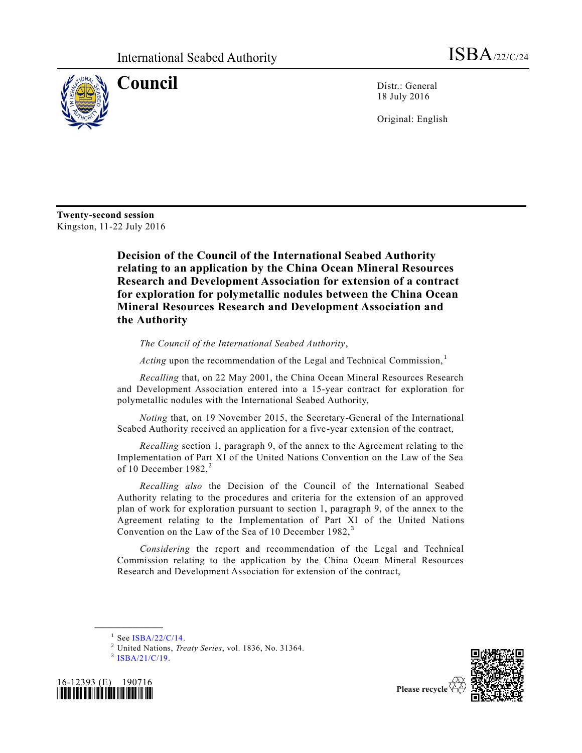

**Council** Distr.: General 18 July 2016

Original: English

**Twenty-second session** Kingston, 11-22 July 2016

> **Decision of the Council of the International Seabed Authority relating to an application by the China Ocean Mineral Resources Research and Development Association for extension of a contract for exploration for polymetallic nodules between the China Ocean Mineral Resources Research and Development Association and the Authority**

*The Council of the International Seabed Authority*,

*Acting* upon the recommendation of the Legal and Technical Commission,<sup>1</sup>

*Recalling* that, on 22 May 2001, the China Ocean Mineral Resources Research and Development Association entered into a 15-year contract for exploration for polymetallic nodules with the International Seabed Authority,

*Noting* that, on 19 November 2015, the Secretary-General of the International Seabed Authority received an application for a five-year extension of the contract,

*Recalling* section 1, paragraph 9, of the annex to the Agreement relating to the Implementation of Part XI of the United Nations Convention on the Law of the Sea of 10 December 1982, $2$ 

*Recalling also* the Decision of the Council of the International Seabed Authority relating to the procedures and criteria for the extension of an approved plan of work for exploration pursuant to section 1, paragraph 9, of the annex to the Agreement relating to the Implementation of Part XI of the United Nations Convention on the Law of the Sea of 10 December 1982, <sup>3</sup>

*Considering* the report and recommendation of the Legal and Technical Commission relating to the application by the China Ocean Mineral Resources Research and Development Association for extension of the contract,

**\_\_\_\_\_\_\_\_\_\_\_\_\_\_\_\_\_\_**





Please recycle

 $1$  See [ISBA/22/C/14.](http://undocs.org/ISBA/22/C/14)

<sup>2</sup> United Nations, *Treaty Series*, vol. 1836, No. 31364.

<sup>&</sup>lt;sup>3</sup> [ISBA/21/C/19.](http://undocs.org/ISBA/21/C/19)